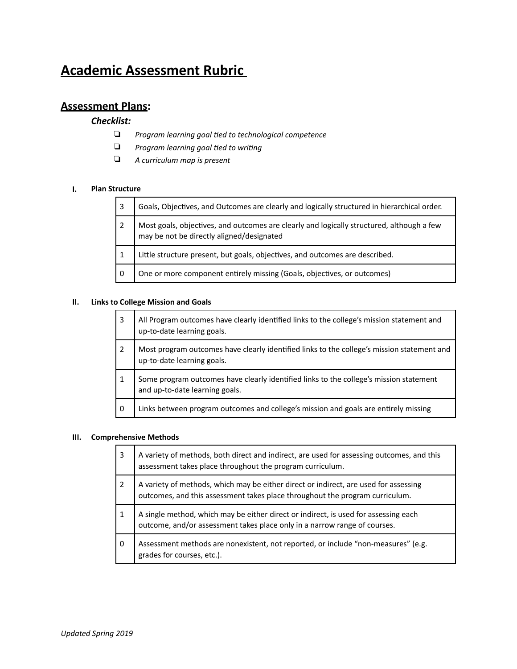# **Academic Assessment Rubric**

# **Assessment Plans:**

### *Checklist:*

- ❏ *Program learning goal ,ed to technological competence*
- □ *Program learning goal tied to writing*
- ❏ *A curriculum map is present*

#### **I. Plan Structure**

| 3 | Goals, Objectives, and Outcomes are clearly and logically structured in hierarchical order.                                            |
|---|----------------------------------------------------------------------------------------------------------------------------------------|
|   | Most goals, objectives, and outcomes are clearly and logically structured, although a few<br>may be not be directly aligned/designated |
|   | Little structure present, but goals, objectives, and outcomes are described.                                                           |
| 0 | One or more component entirely missing (Goals, objectives, or outcomes)                                                                |

### **II. Links to College Mission and Goals**

| 3 | All Program outcomes have clearly identified links to the college's mission statement and<br>up-to-date learning goals.  |
|---|--------------------------------------------------------------------------------------------------------------------------|
|   | Most program outcomes have clearly identified links to the college's mission statement and<br>up-to-date learning goals. |
|   | Some program outcomes have clearly identified links to the college's mission statement<br>and up-to-date learning goals. |
| 0 | Links between program outcomes and college's mission and goals are entirely missing                                      |

### **III.** Comprehensive Methods

| 3              | A variety of methods, both direct and indirect, are used for assessing outcomes, and this<br>assessment takes place throughout the program curriculum.               |
|----------------|----------------------------------------------------------------------------------------------------------------------------------------------------------------------|
| $\overline{2}$ | A variety of methods, which may be either direct or indirect, are used for assessing<br>outcomes, and this assessment takes place throughout the program curriculum. |
| 1              | A single method, which may be either direct or indirect, is used for assessing each outcome, and/or assessment takes place only in a narrow range of courses.        |
| 0              | Assessment methods are nonexistent, not reported, or include "non-measures" (e.g.<br>grades for courses, etc.).                                                      |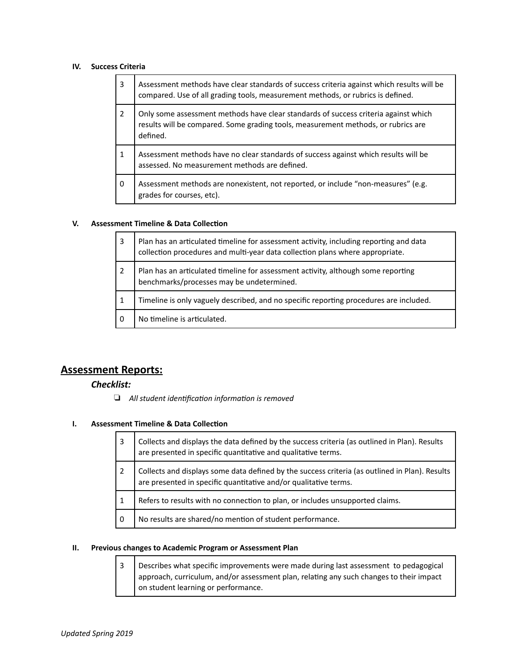### **IV.** Success Criteria

| 3              | Assessment methods have clear standards of success criteria against which results will be<br>compared. Use of all grading tools, measurement methods, or rubrics is defined.         |
|----------------|--------------------------------------------------------------------------------------------------------------------------------------------------------------------------------------|
| $\overline{2}$ | Only some assessment methods have clear standards of success criteria against which<br>results will be compared. Some grading tools, measurement methods, or rubrics are<br>defined. |
| 1              | Assessment methods have no clear standards of success against which results will be<br>assessed. No measurement methods are defined.                                                 |
| 0              | Assessment methods are nonexistent, not reported, or include "non-measures" (e.g.<br>grades for courses, etc).                                                                       |

### **V.** Assessment Timeline & Data Collection

| 3 | Plan has an articulated timeline for assessment activity, including reporting and data<br>collection procedures and multi-year data collection plans where appropriate. |
|---|-------------------------------------------------------------------------------------------------------------------------------------------------------------------------|
|   | Plan has an articulated timeline for assessment activity, although some reporting<br>benchmarks/processes may be undetermined.                                          |
|   | Timeline is only vaguely described, and no specific reporting procedures are included.                                                                                  |
|   | No timeline is articulated.                                                                                                                                             |

# **Assessment Reports:**

### *Checklist:*

□ All student identification information is removed

### **I. Assessment Timeline & Data Collection**

| 3   | Collects and displays the data defined by the success criteria (as outlined in Plan). Results<br>are presented in specific quantitative and qualitative terms.     |
|-----|--------------------------------------------------------------------------------------------------------------------------------------------------------------------|
| 2   | Collects and displays some data defined by the success criteria (as outlined in Plan). Results<br>are presented in specific quantitative and/or qualitative terms. |
|     | Refers to results with no connection to plan, or includes unsupported claims.                                                                                      |
| - 0 | No results are shared/no mention of student performance.                                                                                                           |

### **II.** Previous changes to Academic Program or Assessment Plan

| 3   Describes what specific improvements were made during last assessment to pedagogical |
|------------------------------------------------------------------------------------------|
| approach, curriculum, and/or assessment plan, relating any such changes to their impact  |
| on student learning or performance.                                                      |